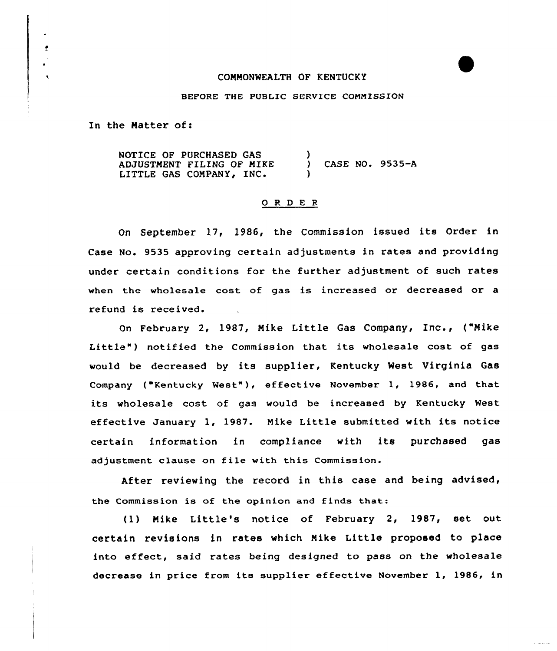## COMMONWEALTH OF KENTUCKY

## BEFORE THE PUBLIC SERVICE COMMISSION

In the Matter of:

 $\ddot{\phantom{a}}$ 

NOTICE OF PURCHASED GAS ADJUSTMENT FILING OF MIKE LITTLE GAS COMPANY, INC.  $\lambda$ CASE NO. 9535-A )

## 0 <sup>R</sup> <sup>D</sup> <sup>E</sup> R

On September 17, 1986, the Commission issued its Order in Case No. 9535 approving certain adjustments in rates and providing under certain conditions for the further adjustment of such rates when the wholesale cost of gas is increased or decreased or a refund is received.

On February 2, 1987, Mike Little Gas Company, Inc., ("Mike Little") notified the Commission that its wholesale cost of gas would be decreased by its supplier, Kentucky West Virginia Gas Company ("Kentucky Nest" ), effective November 1, 1986, and that its wholesale cost of gas would be increased by Kentucky West effective January 1, 1987. Mike Little submitted with its notice certain information in compliance with its purchased gas adjustment clause on file with this Commission.

After reviewing the record in this case and being advised, the Commission is of the opinion and finds that:

(1) Mike Little's notice of February 2, 1987, set out certain revisions in rates which Mike Little proposed to place into effect, said rates being designed to pass on the wholesale decrease in price from its supplier effective November 1, 1986, in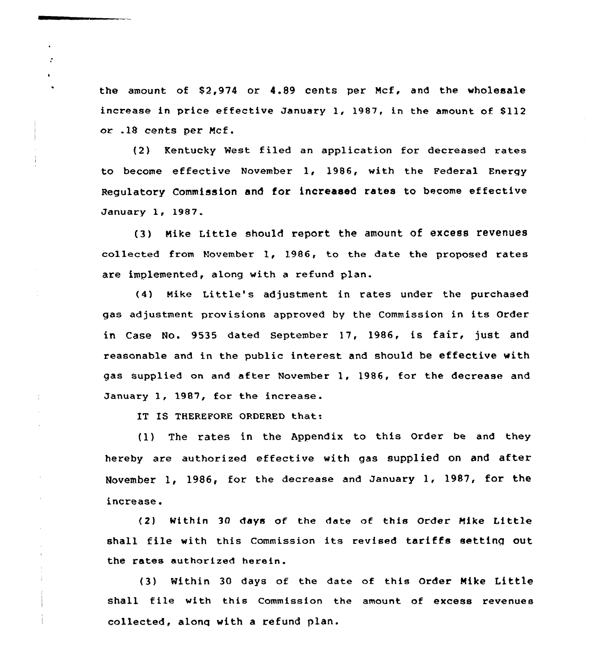the amount of 82,974 or 4.89 cents per Mcf, and the wholesale increase in price effective January 1, 1987, in the amount of \$112 or .18 cents per Mcf.

(2) Kentucky West filed an application for decxeased rates to become effective November 1, 1986, with the Federal Energy Regulatory Commission and for increased rates to become effective January 1, 1987.

(3) Mike Little should report the amount of excess revenues collected from November 1, 1986, to the date the pxoposed rates are implemented, along with a refund plan.

(4) Mike Little's adjustment in rates under the purchased gas adjustment provisions appxoved by the Commission in its Order in Case No. 9535 dated September 17, 1986, is fair, just and reasonable and in the public interest and should be effective with gas supplied on and after November 1, 1986, for the decrease and January 1, 1987, for the increase.

IT IS THEREFORE ORDERED that:

 $\mathbf{r}$ 

÷

(1) The rates in the Appendix to this Order be and they hexeby are authorised effective with gas supplied on and aftex November 1, 1986, for the decrease and January 1, 1987, for the increase.

(2) Within 30 days of the date of this Order Hike Little shall file with this Commission its revised tariffs setting out the rates authorized herein.

(3) Within 30 days of the date of this Order Mike Little shall file with this Commission the amount of excess revenues collected, along with a refund plan.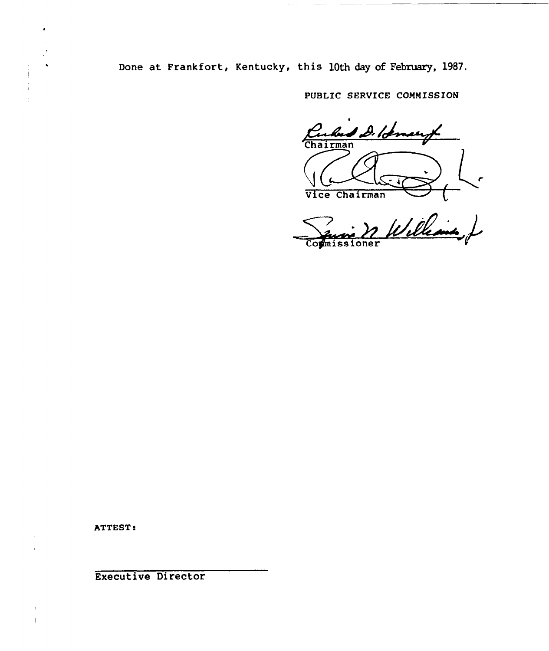Done at Frankfort, Kentucky, this 10th day of February, 1987.

PUBLIC SERVICE COMMISSION

Cubus D. Romary l Vice Chairman V

Williams J Commissioner

ATTEST:

Executive Director